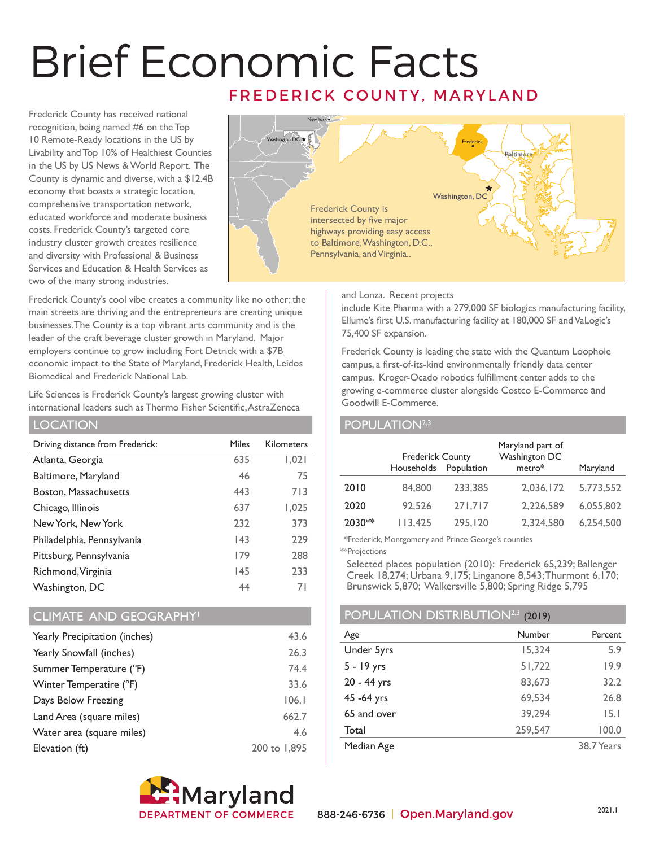# Brief Economic Facts FREDERICK COUNTY, MARYLAND

Frederick County has received national recognition, being named #6 on the Top 10 Remote-Ready locations in the US by Livability and Top 10% of Healthiest Counties in the US by US News & World Report. The County is dynamic and diverse, with a \$12.4B economy that boasts a strategic location, comprehensive transportation network, educated workforce and moderate business costs. Frederick County's targeted core industry cluster growth creates resilience and diversity with Professional & Business Services and Education & Health Services as two of the many strong industries.



Frederick County's cool vibe creates a community like no other; the main streets are thriving and the entrepreneurs are creating unique businesses. The County is a top vibrant arts community and is the leader of the craft beverage cluster growth in Maryland. Major employers continue to grow including Fort Detrick with a \$7B economic impact to the State of Maryland, Frederick Health, Leidos Biomedical and Frederick National Lab.

Life Sciences is Frederick County's largest growing cluster with international leaders such as Thermo Fisher Scientific, AstraZeneca

#### LOCATION

| Driving distance from Frederick: | <b>Miles</b> | <b>Kilometers</b> |
|----------------------------------|--------------|-------------------|
| Atlanta, Georgia                 | 635          | 1,021             |
| Baltimore, Maryland              | 46           | 75                |
| Boston, Massachusetts            | 443          | 713               |
| Chicago, Illinois                | 637          | 1,025             |
| New York, New York               | 232          | 373               |
| Philadelphia, Pennsylvania       | 43           | 229               |
| Pittsburg, Pennsylvania          | 179          | 288               |
| Richmond, Virginia               | 145          | 233               |
| Washington, DC                   | 44           | 71                |

### CLIMATE AND GEOGRAPHY<sup>1</sup>

| Yearly Precipitation (inches) | 43.6         |
|-------------------------------|--------------|
| Yearly Snowfall (inches)      | 26.3         |
| Summer Temperature (°F)       | 74.4         |
| Winter Temperatire (°F)       | 33.6         |
| Days Below Freezing           | 106.1        |
| Land Area (square miles)      | 662.7        |
| Water area (square miles)     | 4.6          |
| Elevation (ft)                | 200 to 1,895 |



and Lonza. Recent projects

include Kite Pharma with a 279,000 SF biologics manufacturing facility, Ellume's first U.S. manufacturing facility at 180,000 SF and VaLogic's 75,400 SF expansion.

Frederick County is leading the state with the Quantum Loophole campus, a first-of-its-kind environmentally friendly data center campus. Kroger-Ocado robotics fulfillment center adds to the growing e-commerce cluster alongside Costco E-Commerce and Goodwill E-Commerce.

### POPULATION<sup>2,3</sup>

|        | <b>Frederick County</b><br>Households | Population | Maryland part of<br>Washington DC<br>metro* | Maryland  |
|--------|---------------------------------------|------------|---------------------------------------------|-----------|
| 2010   | 84,800                                | 233,385    | 2,036,172                                   | 5,773,552 |
| 2020   | 92,526                                | 271,717    | 2,226,589                                   | 6,055,802 |
| 2030** | 113,425                               | 295,120    | 2,324,580                                   | 6,254,500 |

\*Frederick, Montgomery and Prince George's counties

\*\*Projections

Selected places population (2010): Frederick 65,239; Ballenger Creek 18,274; Urbana 9,175; Linganore 8,543; Thurmont 6,170; Brunswick 5,870; Walkersville 5,800; Spring Ridge 5,795

# POPULATION DISTRIBUTION<sup>2,3</sup> (2019)

| Age         | Number  | Percent    |
|-------------|---------|------------|
| Under 5yrs  | 15,324  | 5.9        |
| 5 - 19 yrs  | 51,722  | 19.9       |
| 20 - 44 yrs | 83,673  | 32.2       |
| 45 - 64 yrs | 69,534  | 26.8       |
| 65 and over | 39,294  | 15.1       |
| Total       | 259,547 | 100.0      |
| Median Age  |         | 38.7 Years |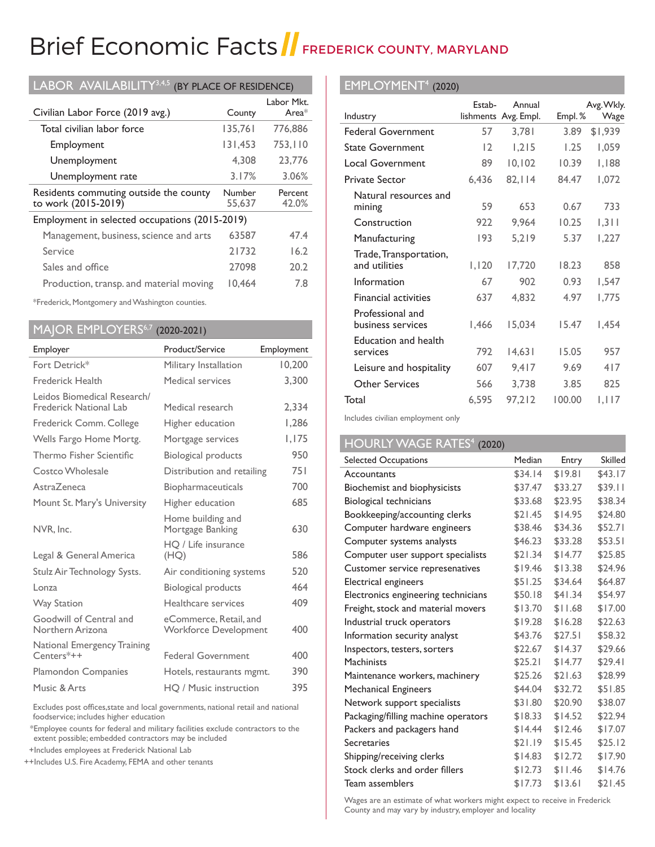# Brief Economic Facts FREDERICK COUNTY, MARYLAND

| LABOR AVAILABILITY <sup>3,4,5</sup><br>(BY PLACE OF RESIDENCE) |                  |                        |  |
|----------------------------------------------------------------|------------------|------------------------|--|
| Civilian Labor Force (2019 avg.)                               | County           | Labor Mkt.<br>Area $*$ |  |
| Total civilian labor force                                     | 135,761          | 776,886                |  |
| Employment                                                     | 131,453          | 753,110                |  |
| Unemployment                                                   | 4.308            | 23.776                 |  |
| Unemployment rate                                              | 3.17%            | 3.06%                  |  |
|                                                                |                  |                        |  |
| Residents commuting outside the county<br>to work (2015-2019)  | Number<br>55,637 | Percent<br>42.0%       |  |
| Employment in selected occupations (2015-2019)                 |                  |                        |  |
| Management, business, science and arts                         | 63587            | 47.4                   |  |
| Service                                                        | 21732            | 16.2                   |  |
| Sales and office                                               | 27098            | 20.2                   |  |

\*Frederick, Montgomery and Washington counties.

# MAJOR EMPLOYERS6,7 (2020-2021)

| Employer                                              | Product/Service                                        | Employment |
|-------------------------------------------------------|--------------------------------------------------------|------------|
| Fort Detrick*                                         | Military Installation                                  | 10,200     |
| <b>Frederick Health</b>                               | Medical services                                       | 3.300      |
| Leidos Biomedical Research/<br>Frederick National Lab | Medical research                                       | 2,334      |
| Frederick Comm. College                               | Higher education                                       | 1,286      |
| Wells Fargo Home Mortg.                               | Mortgage services                                      | 1.175      |
| Thermo Fisher Scientific                              | <b>Biological products</b>                             | 950        |
| Costco Wholesale                                      | Distribution and retailing                             | 751        |
| AstraZeneca                                           | <b>Biopharmaceuticals</b>                              | 700        |
| Mount St. Mary's University                           | Higher education                                       | 685        |
| NVR, Inc.                                             | Home building and<br>Mortgage Banking                  | 630        |
| Legal & General America                               | HO / Life insurance<br>(HQ)                            | 586        |
| Stulz Air Technology Systs.                           | Air conditioning systems                               | 520        |
| $L_{\Omega}$ nza                                      | Biological products                                    | 464        |
| <b>Way Station</b>                                    | Healthcare services                                    | 409        |
| Goodwill of Central and<br>Northern Arizona           | eCommerce, Retail, and<br><b>Workforce Development</b> | 400        |
| National Emergency Training<br>Centers*++             | <b>Federal Government</b>                              | 400        |
| Plamondon Companies                                   | Hotels, restaurants mgmt.                              | 390        |
| Music & Arts                                          | HO / Music instruction                                 | 395        |

Excludes post offices,state and local governments, national retail and national foodservice; includes higher education

 \*Employee counts for federal and military facilities exclude contractors to the extent possible; embedded contractors may be included

+Includes employees at Frederick National Lab

++Includes U.S. Fire Academy, FEMA and other tenants

### EMPLOYMENT4 (2020)

|                                         | Estab- | Annual               |        | Avg. Wkly. |
|-----------------------------------------|--------|----------------------|--------|------------|
| Industry                                |        | lishments Avg. Empl. | Empl.% | Wage       |
| <b>Federal Government</b>               | 57     | 3,781                | 3.89   | \$1,939    |
| <b>State Government</b>                 | 12     | 1,215                | 1.25   | 1,059      |
| <b>Local Government</b>                 | 89     | 10, 102              | 10.39  | 1,188      |
| <b>Private Sector</b>                   | 6,436  | 82, 114              | 84.47  | 1,072      |
| Natural resources and<br>mining         | 59     | 653                  | 0.67   | 733        |
| Construction                            | 922    | 9,964                | 10.25  | 1,311      |
| Manufacturing                           | 193    | 5.219                | 5.37   | 1,227      |
| Trade, Transportation,<br>and utilities | 1,120  | 17,720               | 18.23  | 858        |
| Information                             | 67     | 902                  | 0.93   | 1,547      |
| <b>Financial activities</b>             | 637    | 4,832                | 4.97   | 1,775      |
| Professional and<br>business services   | 1,466  | 15,034               | 15.47  | 1,454      |
| Education and health<br>services        | 792    | 14,631               | 15.05  | 957        |
| Leisure and hospitality                 | 607    | 9,417                | 9.69   | 417        |
| Other Services                          | 566    | 3,738                | 3.85   | 825        |
| Total                                   | 6,595  | 97,212               | 100.00 | I, I I 7   |

Includes civilian employment only

# HOURLY WAGE RATES<sup>4</sup> (2020)

| Selected Occupations                | Median  | Entry   | <b>Skilled</b> |
|-------------------------------------|---------|---------|----------------|
| Accountants                         | \$34.14 | \$19.81 | \$43.17        |
| Biochemist and biophysicists        | \$37.47 | \$33.27 | \$39.11        |
| Biological technicians              | \$33.68 | \$23.95 | \$38.34        |
| Bookkeeping/accounting clerks       | \$21.45 | \$14.95 | \$24.80        |
| Computer hardware engineers         | \$38.46 | \$34.36 | \$52.71        |
| Computer systems analysts           | \$46.23 | \$33.28 | \$53.51        |
| Computer user support specialists   | \$21.34 | \$14.77 | \$25.85        |
| Customer service represenatives     | \$19.46 | \$13.38 | \$24.96        |
| Electrical engineers                | \$51.25 | \$34.64 | \$64.87        |
| Electronics engineering technicians | \$50.18 | \$41.34 | \$54.97        |
| Freight, stock and material movers  | \$13.70 | \$11.68 | \$17.00        |
| Industrial truck operators          | \$19.28 | \$16.28 | \$22.63        |
| Information security analyst        | \$43.76 | \$27.51 | \$58.32        |
| Inspectors, testers, sorters        | \$22.67 | \$14.37 | \$29.66        |
| <b>Machinists</b>                   | \$25.21 | \$14.77 | \$29.41        |
| Maintenance workers, machinery      | \$25.26 | \$21.63 | \$28.99        |
| <b>Mechanical Engineers</b>         | \$44.04 | \$32.72 | \$51.85        |
| Network support specialists         | \$31.80 | \$20.90 | \$38.07        |
| Packaging/filling machine operators | \$18.33 | \$14.52 | \$22.94        |
| Packers and packagers hand          | \$14.44 | \$12.46 | \$17.07        |
| Secretaries                         | \$21.19 | \$15.45 | \$25.12        |
| Shipping/receiving clerks           | \$14.83 | \$12.72 | \$17.90        |
| Stock clerks and order fillers      | \$12.73 | \$11.46 | \$14.76        |
| Team assemblers                     | \$17.73 | \$13.61 | \$21.45        |

Wages are an estimate of what workers might expect to receive in Frederick County and may vary by industry, employer and locality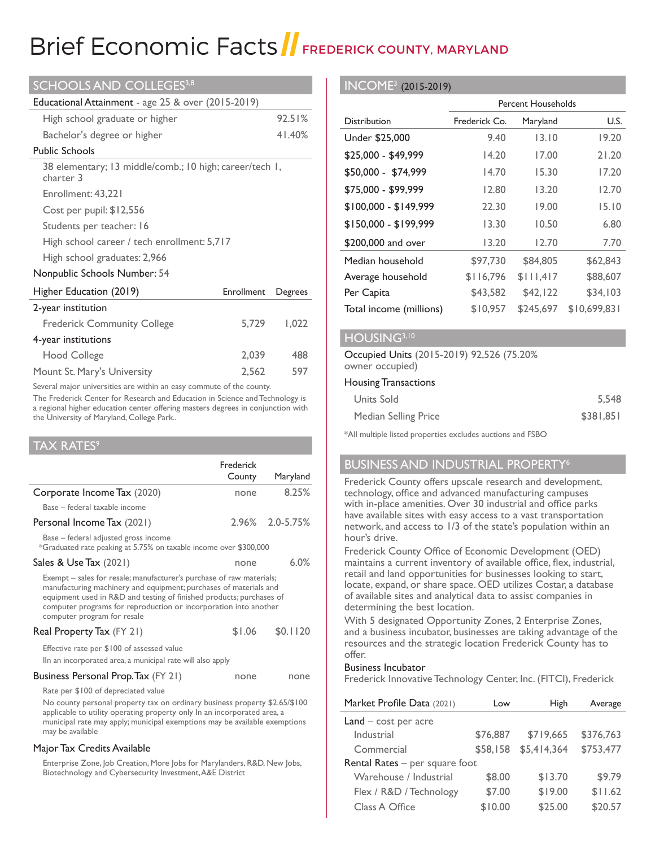# Brief Economic Facts FREDERICK COUNTY, MARYLAND

| SCHOOLS AND COLLEGES <sup>3,8</sup>                                  |            |         |  |
|----------------------------------------------------------------------|------------|---------|--|
| Educational Attainment - age 25 & over (2015-2019)                   |            |         |  |
| High school graduate or higher                                       |            | 92.51%  |  |
| Bachelor's degree or higher                                          |            | 41.40%  |  |
| <b>Public Schools</b>                                                |            |         |  |
| 38 elementary; 13 middle/comb.; 10 high; career/tech 1,<br>charter 3 |            |         |  |
| Enrollment: 43,221                                                   |            |         |  |
| Cost per pupil: \$12,556                                             |            |         |  |
| Students per teacher: 16                                             |            |         |  |
| High school career / tech enrollment: 5,717                          |            |         |  |
| High school graduates: 2,966                                         |            |         |  |
| Nonpublic Schools Number: 54                                         |            |         |  |
| Higher Education (2019)                                              | Enrollment | Degrees |  |
| 2-year institution                                                   |            |         |  |
| <b>Frederick Community College</b>                                   | 5,729      | 1,022   |  |
| 4-year institutions                                                  |            |         |  |
| Hood College                                                         | 2,039      | 488     |  |
| Mount St. Mary's University                                          | 2,562      | 597     |  |

Several major universities are within an easy commute of the county.

The Frederick Center for Research and Education in Science and Technology is a regional higher education center offering masters degrees in conjunction with the University of Maryland, College Park..

| <b>TAX RATES<sup>9</sup></b>                                                                                                                                                                                                                                                                                         |           |                 |  |
|----------------------------------------------------------------------------------------------------------------------------------------------------------------------------------------------------------------------------------------------------------------------------------------------------------------------|-----------|-----------------|--|
|                                                                                                                                                                                                                                                                                                                      | Frederick |                 |  |
|                                                                                                                                                                                                                                                                                                                      | County    | Maryland        |  |
| Corporate Income Tax (2020)                                                                                                                                                                                                                                                                                          | none      | 8.25%           |  |
| Base - federal taxable income                                                                                                                                                                                                                                                                                        |           |                 |  |
| Personal Income Tax (2021)                                                                                                                                                                                                                                                                                           |           | 2.96% 2.0-5.75% |  |
| Base - federal adjusted gross income<br>*Graduated rate peaking at 5.75% on taxable income over \$300,000                                                                                                                                                                                                            |           |                 |  |
| Sales & Use Tax (2021)                                                                                                                                                                                                                                                                                               | none      | 6.0%            |  |
| Exempt – sales for resale; manufacturer's purchase of raw materials;<br>manufacturing machinery and equipment; purchases of materials and<br>equipment used in R&D and testing of finished products; purchases of<br>computer programs for reproduction or incorporation into another<br>computer program for resale |           |                 |  |
| Real Property Tax (FY 21)                                                                                                                                                                                                                                                                                            | \$1.06    | \$0.1120        |  |
| Effective rate per \$100 of assessed value<br>Iln an incorporated area, a municipal rate will also apply                                                                                                                                                                                                             |           |                 |  |
|                                                                                                                                                                                                                                                                                                                      |           |                 |  |
| Business Personal Prop. Tax (FY 21)                                                                                                                                                                                                                                                                                  | none      | none            |  |
| Rate per \$100 of depreciated value                                                                                                                                                                                                                                                                                  |           |                 |  |
| No county personal property tax on ordinary business property \$2.65/\$100<br>applicable to utility operating property only In an incorporated area, a<br>municipal rate may apply; municipal exemptions may be available exemptions<br>may be available                                                             |           |                 |  |
| Major Tax Credits Available                                                                                                                                                                                                                                                                                          |           |                 |  |
| Enterprise Zone, Job Creation, More Jobs for Marylanders, R&D, New Jobs,<br>Biotechnology and Cybersecurity Investment, A&E District                                                                                                                                                                                 |           |                 |  |

#### INCOME<sup>3</sup> (2015-2019)

|                         | <b>Percent Households</b> |           |              |
|-------------------------|---------------------------|-----------|--------------|
| <b>Distribution</b>     | Frederick Co.             | Maryland  | U.S.         |
| Under \$25,000          | 9.40                      | 13.10     | 19.20        |
| \$25,000 - \$49,999     | 14.20                     | 17.00     | 21.20        |
| \$50,000 - \$74,999     | 14.70                     | 15.30     | 17.20        |
| \$75,000 - \$99,999     | 12.80                     | 13.20     | 12.70        |
| $$100,000 - $149,999$   | 22.30                     | 19.00     | 15.10        |
| $$150,000 - $199,999$   | 13.30                     | 10.50     | 6.80         |
| \$200,000 and over      | 13.20                     | 12.70     | 7.70         |
| Median household        | \$97,730                  | \$84,805  | \$62,843     |
| Average household       | \$116,796                 | \$111,417 | \$88,607     |
| Per Capita              | \$43,582                  | \$42,122  | \$34,103     |
| Total income (millions) | \$10,957                  | \$245,697 | \$10,699,831 |

#### HOUSING<sup>3,10</sup>

#### Occupied Units (2015-2019) 92,526 (75.20% owner occupied)

#### Housing Transactions

| Units Sold           | 5.548     |
|----------------------|-----------|
| Median Selling Price | \$381,851 |

\*All multiple listed properties excludes auctions and FSBO

# **BUSINESS AND INDUSTRIAL PROPERTY<sup>6</sup>**

Frederick County offers upscale research and development, technology, office and advanced manufacturing campuses with in-place amenities. Over 30 industrial and office parks have available sites with easy access to a vast transportation network, and access to 1/3 of the state's population within an hour's drive.

Frederick County Office of Economic Development (OED) maintains a current inventory of available office, flex, industrial, retail and land opportunities for businesses looking to start, locate, expand, or share space. OED utilizes Costar, a database of available sites and analytical data to assist companies in determining the best location.

With 5 designated Opportunity Zones, 2 Enterprise Zones, and a business incubator, businesses are taking advantage of the resources and the strategic location Frederick County has to offer.

#### Business Incubator

Frederick Innovative Technology Center, Inc. (FITCI), Frederick

| Market Profile Data (2021)       | Low      | High        | Average   |
|----------------------------------|----------|-------------|-----------|
| $Land - cost per acre$           |          |             |           |
| Industrial                       | \$76,887 | \$719,665   | \$376,763 |
| Commercial                       | \$58,158 | \$5,414,364 | \$753,477 |
| Rental Rates $-$ per square foot |          |             |           |
| Warehouse / Industrial           | \$8.00   | \$13.70     | \$9.79    |
| Flex / R&D / Technology          | \$7.00   | \$19.00     | \$11.62   |
| Class A Office                   | \$10.00  | \$25.00     | \$20.57   |